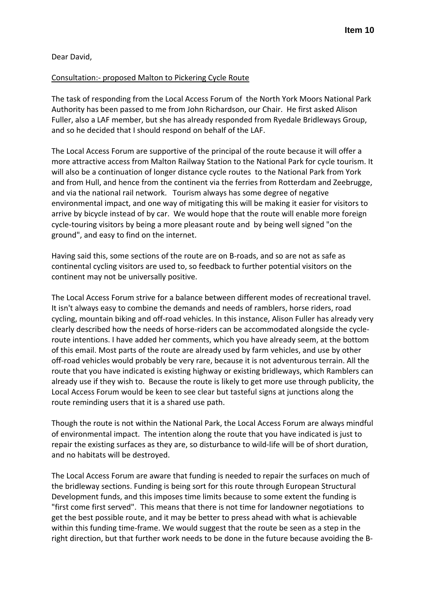Dear David,

## Consultation:‐ proposed Malton to Pickering Cycle Route

The task of responding from the Local Access Forum of the North York Moors National Park Authority has been passed to me from John Richardson, our Chair. He first asked Alison Fuller, also a LAF member, but she has already responded from Ryedale Bridleways Group, and so he decided that I should respond on behalf of the LAF.

The Local Access Forum are supportive of the principal of the route because it will offer a more attractive access from Malton Railway Station to the National Park for cycle tourism. It will also be a continuation of longer distance cycle routes to the National Park from York and from Hull, and hence from the continent via the ferries from Rotterdam and Zeebrugge, and via the national rail network. Tourism always has some degree of negative environmental impact, and one way of mitigating this will be making it easier for visitors to arrive by bicycle instead of by car. We would hope that the route will enable more foreign cycle‐touring visitors by being a more pleasant route and by being well signed "on the ground", and easy to find on the internet.

Having said this, some sections of the route are on B-roads, and so are not as safe as continental cycling visitors are used to, so feedback to further potential visitors on the continent may not be universally positive.

The Local Access Forum strive for a balance between different modes of recreational travel. It isn't always easy to combine the demands and needs of ramblers, horse riders, road cycling, mountain biking and off‐road vehicles. In this instance, Alison Fuller has already very clearly described how the needs of horse-riders can be accommodated alongside the cycleroute intentions. I have added her comments, which you have already seem, at the bottom of this email. Most parts of the route are already used by farm vehicles, and use by other off‐road vehicles would probably be very rare, because it is not adventurous terrain. All the route that you have indicated is existing highway or existing bridleways, which Ramblers can already use if they wish to. Because the route is likely to get more use through publicity, the Local Access Forum would be keen to see clear but tasteful signs at junctions along the route reminding users that it is a shared use path.

Though the route is not within the National Park, the Local Access Forum are always mindful of environmental impact. The intention along the route that you have indicated is just to repair the existing surfaces as they are, so disturbance to wild‐life will be of short duration, and no habitats will be destroyed.

The Local Access Forum are aware that funding is needed to repair the surfaces on much of the bridleway sections. Funding is being sort for this route through European Structural Development funds, and this imposes time limits because to some extent the funding is "first come first served". This means that there is not time for landowner negotiations to get the best possible route, and it may be better to press ahead with what is achievable within this funding time-frame. We would suggest that the route be seen as a step in the right direction, but that further work needs to be done in the future because avoiding the B‐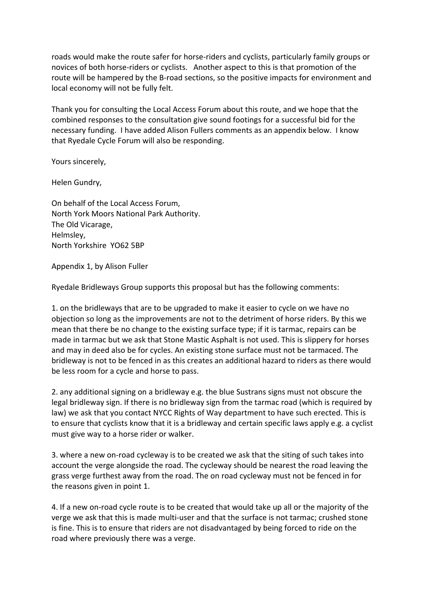roads would make the route safer for horse-riders and cyclists, particularly family groups or novices of both horse-riders or cyclists. Another aspect to this is that promotion of the route will be hampered by the B-road sections, so the positive impacts for environment and local economy will not be fully felt.

Thank you for consulting the Local Access Forum about this route, and we hope that the combined responses to the consultation give sound footings for a successful bid for the necessary funding. I have added Alison Fullers comments as an appendix below. I know that Ryedale Cycle Forum will also be responding.

Yours sincerely,

Helen Gundry,

On behalf of the Local Access Forum, North York Moors National Park Authority. The Old Vicarage, Helmsley, North Yorkshire YO62 5BP

Appendix 1, by Alison Fuller

Ryedale Bridleways Group supports this proposal but has the following comments:

1. on the bridleways that are to be upgraded to make it easier to cycle on we have no objection so long as the improvements are not to the detriment of horse riders. By this we mean that there be no change to the existing surface type; if it is tarmac, repairs can be made in tarmac but we ask that Stone Mastic Asphalt is not used. This is slippery for horses and may in deed also be for cycles. An existing stone surface must not be tarmaced. The bridleway is not to be fenced in as this creates an additional hazard to riders as there would be less room for a cycle and horse to pass.

2. any additional signing on a bridleway e.g. the blue Sustrans signs must not obscure the legal bridleway sign. If there is no bridleway sign from the tarmac road (which is required by law) we ask that you contact NYCC Rights of Way department to have such erected. This is to ensure that cyclists know that it is a bridleway and certain specific laws apply e.g. a cyclist must give way to a horse rider or walker.

3. where a new on-road cycleway is to be created we ask that the siting of such takes into account the verge alongside the road. The cycleway should be nearest the road leaving the grass verge furthest away from the road. The on road cycleway must not be fenced in for the reasons given in point 1.

4. If a new on‐road cycle route is to be created that would take up all or the majority of the verge we ask that this is made multi‐user and that the surface is not tarmac; crushed stone is fine. This is to ensure that riders are not disadvantaged by being forced to ride on the road where previously there was a verge.